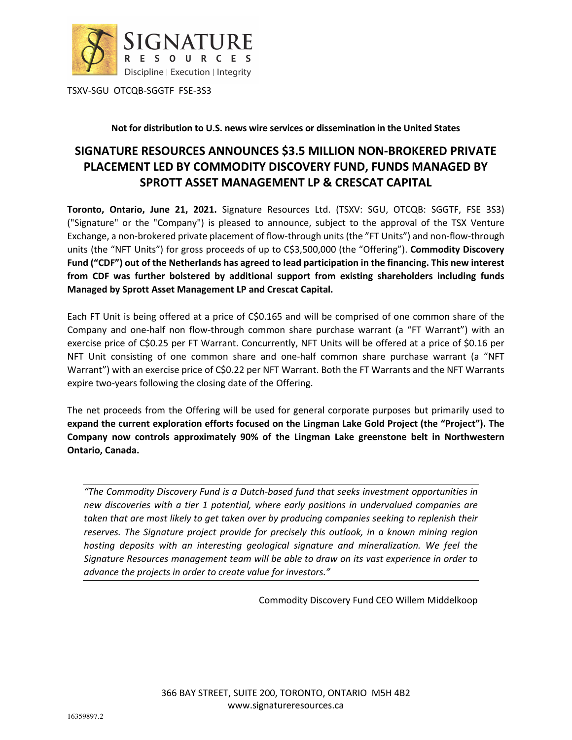

TSXV-SGU OTCQB-SGGTF FSE-3S3

#### **Not for distribution to U.S. news wire services or dissemination in the United States**

# **SIGNATURE RESOURCES ANNOUNCES \$3.5 MILLION NON-BROKERED PRIVATE PLACEMENT LED BY COMMODITY DISCOVERY FUND, FUNDS MANAGED BY SPROTT ASSET MANAGEMENT LP & CRESCAT CAPITAL**

**Toronto, Ontario, June 21, 2021.** Signature Resources Ltd. (TSXV: SGU, OTCQB: SGGTF, FSE 3S3) ("Signature" or the "Company") is pleased to announce, subject to the approval of the TSX Venture Exchange, a non-brokered private placement of flow-through units (the "FT Units") and non-flow-through units (the "NFT Units") for gross proceeds of up to C\$3,500,000 (the "Offering"). **Commodity Discovery Fund ("CDF") out of the Netherlands has agreed to lead participation in the financing. This new interest from CDF was further bolstered by additional support from existing shareholders including funds Managed by Sprott Asset Management LP and Crescat Capital.** 

Each FT Unit is being offered at a price of C\$0.165 and will be comprised of one common share of the Company and one-half non flow-through common share purchase warrant (a "FT Warrant") with an exercise price of C\$0.25 per FT Warrant. Concurrently, NFT Units will be offered at a price of \$0.16 per NFT Unit consisting of one common share and one-half common share purchase warrant (a "NFT Warrant") with an exercise price of C\$0.22 per NFT Warrant. Both the FT Warrants and the NFT Warrants expire two-years following the closing date of the Offering.

The net proceeds from the Offering will be used for general corporate purposes but primarily used to **expand the current exploration efforts focused on the Lingman Lake Gold Project (the "Project"). The Company now controls approximately 90% of the Lingman Lake greenstone belt in Northwestern Ontario, Canada.** 

*"The Commodity Discovery Fund is a Dutch-based fund that seeks investment opportunities in new discoveries with a tier 1 potential, where early positions in undervalued companies are taken that are most likely to get taken over by producing companies seeking to replenish their reserves. The Signature project provide for precisely this outlook, in a known mining region hosting deposits with an interesting geological signature and mineralization. We feel the Signature Resources management team will be able to draw on its vast experience in order to advance the projects in order to create value for investors."* 

Commodity Discovery Fund CEO Willem Middelkoop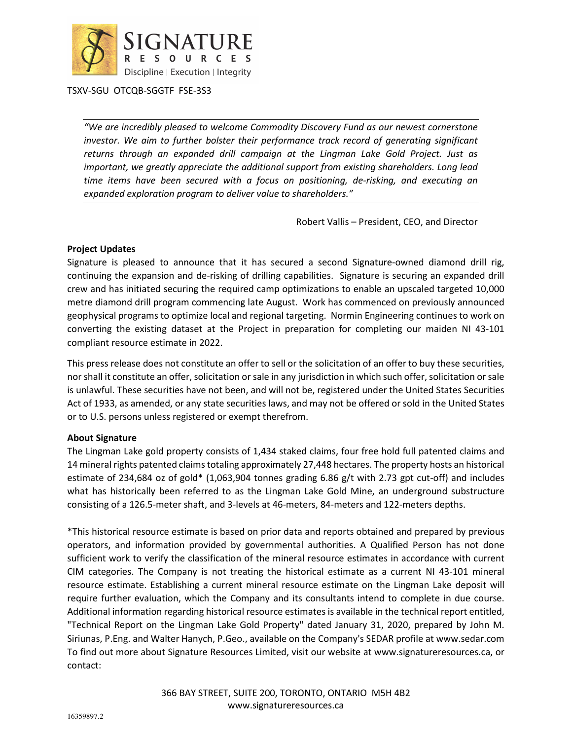

TSXV-SGU OTCQB-SGGTF FSE-3S3

*"We are incredibly pleased to welcome Commodity Discovery Fund as our newest cornerstone*  investor. We aim to further bolster their performance track record of generating significant *returns through an expanded drill campaign at the Lingman Lake Gold Project. Just as important, we greatly appreciate the additional support from existing shareholders. Long lead time items have been secured with a focus on positioning, de-risking, and executing an expanded exploration program to deliver value to shareholders."* 

Robert Vallis – President, CEO, and Director

## **Project Updates**

Signature is pleased to announce that it has secured a second Signature-owned diamond drill rig, continuing the expansion and de-risking of drilling capabilities. Signature is securing an expanded drill crew and has initiated securing the required camp optimizations to enable an upscaled targeted 10,000 metre diamond drill program commencing late August. Work has commenced on previously announced geophysical programs to optimize local and regional targeting. Normin Engineering continues to work on converting the existing dataset at the Project in preparation for completing our maiden NI 43-101 compliant resource estimate in 2022.

This press release does not constitute an offer to sell or the solicitation of an offer to buy these securities, nor shall it constitute an offer, solicitation or sale in any jurisdiction in which such offer, solicitation or sale is unlawful. These securities have not been, and will not be, registered under the United States Securities Act of 1933, as amended, or any state securities laws, and may not be offered or sold in the United States or to U.S. persons unless registered or exempt therefrom.

## **About Signature**

The Lingman Lake gold property consists of 1,434 staked claims, four free hold full patented claims and 14 mineral rights patented claims totaling approximately 27,448 hectares. The property hosts an historical estimate of 234,684 oz of gold\* (1,063,904 tonnes grading 6.86 g/t with 2.73 gpt cut-off) and includes what has historically been referred to as the Lingman Lake Gold Mine, an underground substructure consisting of a 126.5-meter shaft, and 3-levels at 46-meters, 84-meters and 122-meters depths.

\*This historical resource estimate is based on prior data and reports obtained and prepared by previous operators, and information provided by governmental authorities. A Qualified Person has not done sufficient work to verify the classification of the mineral resource estimates in accordance with current CIM categories. The Company is not treating the historical estimate as a current NI 43-101 mineral resource estimate. Establishing a current mineral resource estimate on the Lingman Lake deposit will require further evaluation, which the Company and its consultants intend to complete in due course. Additional information regarding historical resource estimates is available in the technical report entitled, "Technical Report on the Lingman Lake Gold Property" dated January 31, 2020, prepared by John M. Siriunas, P.Eng. and Walter Hanych, P.Geo., available on the Company's SEDAR profile at www.sedar.com To find out more about Signature Resources Limited, visit our website at www.signatureresources.ca, or contact: